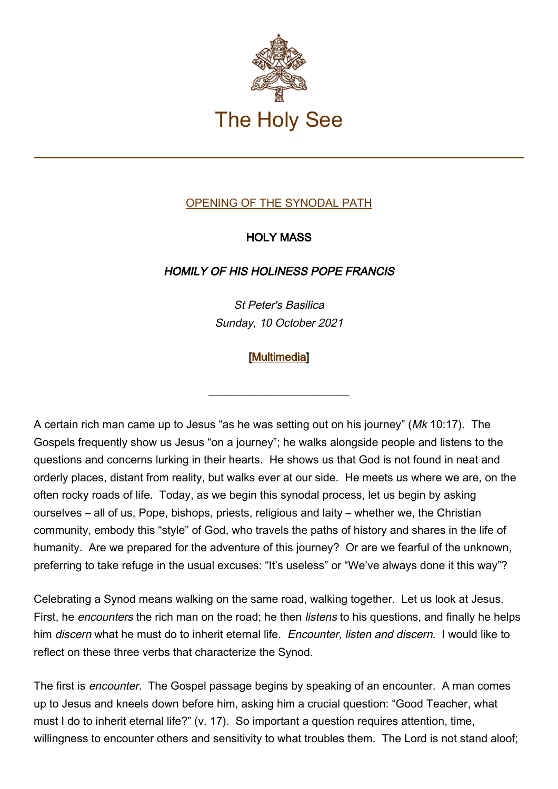

## OPENING OF THE SYNODAL PATH

## HOLY MASS

## HOMILY OF HIS HOLINESS POPE FRANCIS

St Peter's Basilica Sunday, 10 October 2021

## [\[Multimedia](http://w2.vatican.va/content/francesco/en/events/event.dir.html/content/vaticanevents/en/2021/10/10/messa-sinodovescovi.html)]

\_\_\_\_\_\_\_\_\_\_\_\_\_\_\_\_\_\_\_\_\_\_\_\_\_

A certain rich man came up to Jesus "as he was setting out on his journey" (Mk 10:17). The Gospels frequently show us Jesus "on a journey"; he walks alongside people and listens to the questions and concerns lurking in their hearts. He shows us that God is not found in neat and orderly places, distant from reality, but walks ever at our side. He meets us where we are, on the often rocky roads of life. Today, as we begin this synodal process, let us begin by asking ourselves – all of us, Pope, bishops, priests, religious and laity – whether we, the Christian community, embody this "style" of God, who travels the paths of history and shares in the life of humanity. Are we prepared for the adventure of this journey? Or are we fearful of the unknown, preferring to take refuge in the usual excuses: "It's useless" or "We've always done it this way"?

Celebrating a Synod means walking on the same road, walking together. Let us look at Jesus. First, he *encounters* the rich man on the road; he then *listens* to his questions, and finally he helps him discern what he must do to inherit eternal life. Encounter, listen and discern. I would like to reflect on these three verbs that characterize the Synod.

The first is *encounter*. The Gospel passage begins by speaking of an encounter. A man comes up to Jesus and kneels down before him, asking him a crucial question: "Good Teacher, what must I do to inherit eternal life?" (v. 17). So important a question requires attention, time, willingness to encounter others and sensitivity to what troubles them. The Lord is not stand aloof;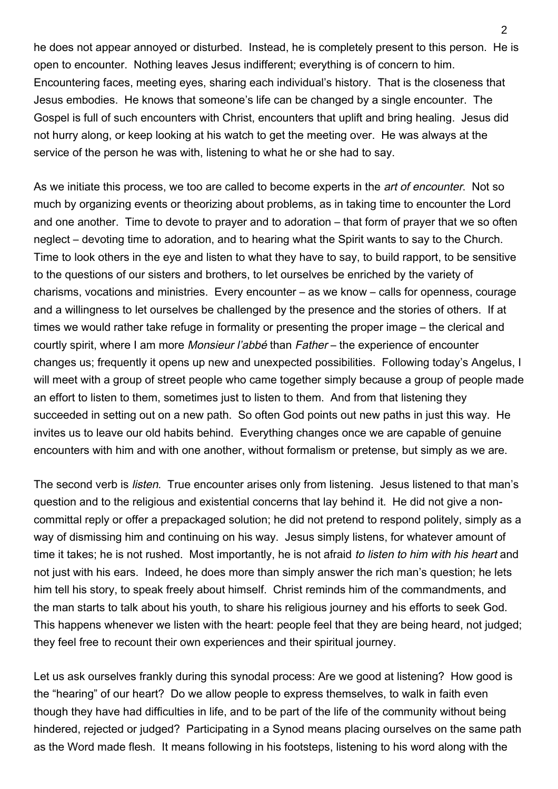he does not appear annoyed or disturbed. Instead, he is completely present to this person. He is open to encounter. Nothing leaves Jesus indifferent; everything is of concern to him. Encountering faces, meeting eyes, sharing each individual's history. That is the closeness that Jesus embodies. He knows that someone's life can be changed by a single encounter. The Gospel is full of such encounters with Christ, encounters that uplift and bring healing. Jesus did not hurry along, or keep looking at his watch to get the meeting over. He was always at the service of the person he was with, listening to what he or she had to say.

As we initiate this process, we too are called to become experts in the *art of encounter*. Not so much by organizing events or theorizing about problems, as in taking time to encounter the Lord and one another. Time to devote to prayer and to adoration – that form of prayer that we so often neglect – devoting time to adoration, and to hearing what the Spirit wants to say to the Church. Time to look others in the eye and listen to what they have to say, to build rapport, to be sensitive to the questions of our sisters and brothers, to let ourselves be enriched by the variety of charisms, vocations and ministries. Every encounter – as we know – calls for openness, courage and a willingness to let ourselves be challenged by the presence and the stories of others. If at times we would rather take refuge in formality or presenting the proper image – the clerical and courtly spirit, where I am more Monsieur l'abbé than Father – the experience of encounter changes us; frequently it opens up new and unexpected possibilities. Following today's Angelus, I will meet with a group of street people who came together simply because a group of people made an effort to listen to them, sometimes just to listen to them. And from that listening they succeeded in setting out on a new path. So often God points out new paths in just this way. He invites us to leave our old habits behind. Everything changes once we are capable of genuine encounters with him and with one another, without formalism or pretense, but simply as we are.

The second verb is *listen*. True encounter arises only from listening. Jesus listened to that man's question and to the religious and existential concerns that lay behind it. He did not give a noncommittal reply or offer a prepackaged solution; he did not pretend to respond politely, simply as a way of dismissing him and continuing on his way. Jesus simply listens, for whatever amount of time it takes; he is not rushed. Most importantly, he is not afraid to listen to him with his heart and not just with his ears. Indeed, he does more than simply answer the rich man's question; he lets him tell his story, to speak freely about himself. Christ reminds him of the commandments, and the man starts to talk about his youth, to share his religious journey and his efforts to seek God. This happens whenever we listen with the heart: people feel that they are being heard, not judged; they feel free to recount their own experiences and their spiritual journey.

Let us ask ourselves frankly during this synodal process: Are we good at listening? How good is the "hearing" of our heart? Do we allow people to express themselves, to walk in faith even though they have had difficulties in life, and to be part of the life of the community without being hindered, rejected or judged? Participating in a Synod means placing ourselves on the same path as the Word made flesh. It means following in his footsteps, listening to his word along with the